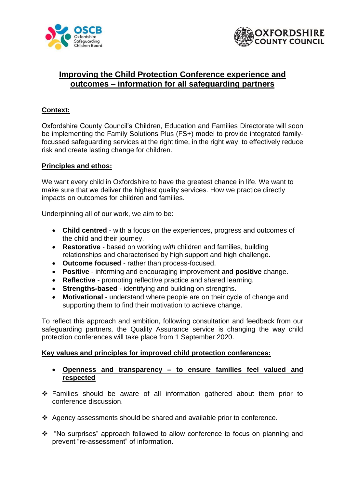



# **Improving the Child Protection Conference experience and outcomes – information for all safeguarding partners**

## **Context:**

Oxfordshire County Council's Children, Education and Families Directorate will soon be implementing the Family Solutions Plus (FS+) model to provide integrated familyfocussed safeguarding services at the right time, in the right way, to effectively reduce risk and create lasting change for children.

#### **Principles and ethos:**

We want every child in Oxfordshire to have the greatest chance in life. We want to make sure that we deliver the highest quality services. How we practice directly impacts on outcomes for children and families.

Underpinning all of our work, we aim to be:

- **Child centred**  with a focus on the experiences, progress and outcomes of the child and their journey.
- **Restorative**  based on working *with* children and families, building relationships and characterised by high support and high challenge.
- **Outcome focused**  rather than process-focused.
- **Positive** informing and encouraging improvement and **positive** change.
- **Reflective** promoting reflective practice and shared learning.
- **Strengths-based**  identifying and building on strengths.
- **Motivational**  understand where people are on their cycle of change and supporting them to find their motivation to achieve change.

To reflect this approach and ambition, following consultation and feedback from our safeguarding partners, the Quality Assurance service is changing the way child protection conferences will take place from 1 September 2020.

#### **Key values and principles for improved child protection conferences:**

- **Openness and transparency – to ensure families feel valued and respected**
- ❖ Families should be aware of all information gathered about them prior to conference discussion.
- ❖ Agency assessments should be shared and available prior to conference.
- ❖ "No surprises" approach followed to allow conference to focus on planning and prevent "re-assessment" of information.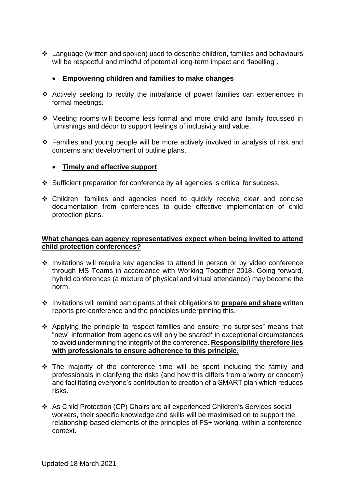❖ Language (written and spoken) used to describe children, families and behaviours will be respectful and mindful of potential long-term impact and "labelling".

## • **Empowering children and families to make changes**

- ❖ Actively seeking to rectify the imbalance of power families can experiences in formal meetings.
- ❖ Meeting rooms will become less formal and more child and family focussed in furnishings and décor to support feelings of inclusivity and value.
- ❖ Families and young people will be more actively involved in analysis of risk and concerns and development of outline plans.

## • **Timely and effective support**

- ❖ Sufficient preparation for conference by all agencies is critical for success.
- ❖ Children, families and agencies need to quickly receive clear and concise documentation from conferences to guide effective implementation of child protection plans.

#### **What changes can agency representatives expect when being invited to attend child protection conferences?**

- ❖ Invitations will require key agencies to attend in person or by video conference through MS Teams in accordance with Working Together 2018. Going forward, hybrid conferences (a mixture of physical and virtual attendance) may become the norm.
- ❖ Invitations will remind participants of their obligations to **prepare and share** written reports pre-conference and the principles underpinning this.
- ❖ Applying the principle to respect families and ensure "no surprises" means that "new" information from agencies will only be shared\* in exceptional circumstances to avoid undermining the integrity of the conference. **Responsibility therefore lies with professionals to ensure adherence to this principle.**
- ❖ The majority of the conference time will be spent including the family and professionals in clarifying the risks (and how this differs from a worry or concern) and facilitating everyone's contribution to creation of a SMART plan which reduces risks.
- ❖ As Child Protection (CP) Chairs are all experienced Children's Services social workers, their specific knowledge and skills will be maximised on to support the relationship-based elements of the principles of FS+ working, within a conference context.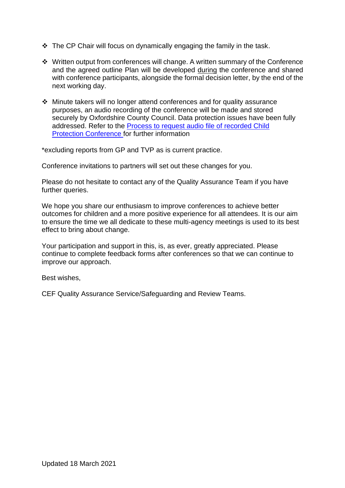- $\div$  The CP Chair will focus on dynamically engaging the family in the task.
- ❖ Written output from conferences will change. A written summary of the Conference and the agreed outline Plan will be developed during the conference and shared with conference participants, alongside the formal decision letter, by the end of the next working day.
- ❖ Minute takers will no longer attend conferences and for quality assurance purposes, an audio recording of the conference will be made and stored securely by Oxfordshire County Council. Data protection issues have been fully addressed. Refer to the [Process to request audio file of recorded Child](https://www.oscb.org.uk/documents/requests-for-audio-files-of-recorded-child-protection-conferences/)  [Protection Conference f](https://www.oscb.org.uk/documents/requests-for-audio-files-of-recorded-child-protection-conferences/)or further information

\*excluding reports from GP and TVP as is current practice.

Conference invitations to partners will set out these changes for you.

Please do not hesitate to contact any of the Quality Assurance Team if you have further queries.

We hope you share our enthusiasm to improve conferences to achieve better outcomes for children and a more positive experience for all attendees. It is our aim to ensure the time we all dedicate to these multi-agency meetings is used to its best effect to bring about change.

Your participation and support in this, is, as ever, greatly appreciated. Please continue to complete feedback forms after conferences so that we can continue to improve our approach.

Best wishes,

CEF Quality Assurance Service/Safeguarding and Review Teams.